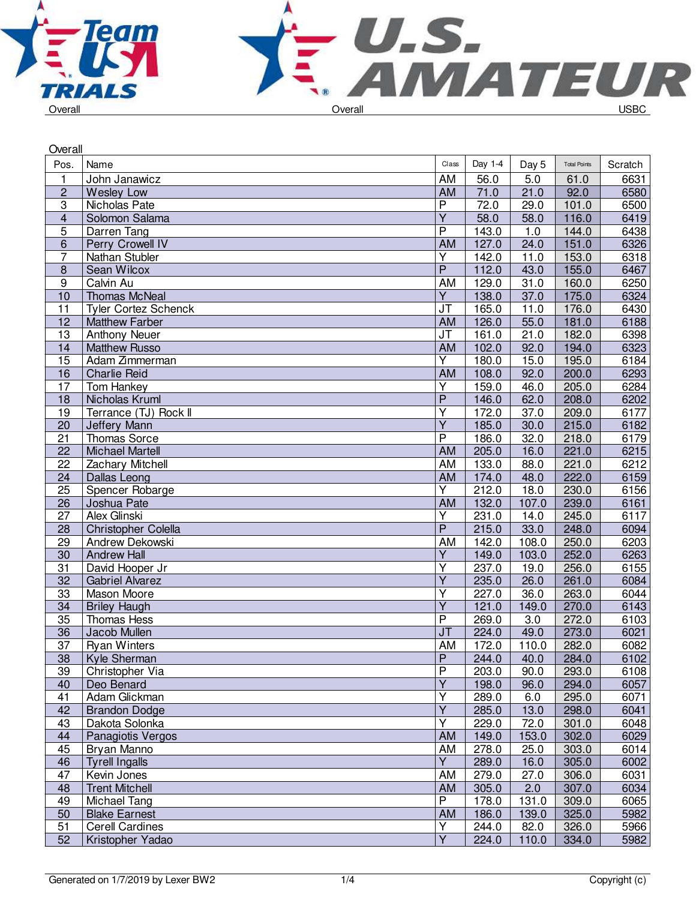



| Overall                 |                             |                         |         |       |                     |         |  |  |
|-------------------------|-----------------------------|-------------------------|---------|-------|---------------------|---------|--|--|
| Pos.                    | Name                        | Class                   | Day 1-4 | Day 5 | <b>Total Points</b> | Scratch |  |  |
| $\mathbf{1}$            | John Janawicz               | AM                      | 56.0    | 5.0   | 61.0                | 6631    |  |  |
| $\overline{c}$          | <b>Wesley Low</b>           | AM                      | 71.0    | 21.0  | 92.0                | 6580    |  |  |
| 3                       | Nicholas Pate               | P                       | 72.0    | 29.0  | 101.0               | 6500    |  |  |
| $\overline{\mathbf{4}}$ | Solomon Salama              | $\overline{Y}$          | 58.0    | 58.0  | 116.0               | 6419    |  |  |
| 5                       | Darren Tang                 | P                       | 143.0   | 1.0   | 144.0               | 6438    |  |  |
| 6                       | Perry Crowell IV            | AM                      | 127.0   | 24.0  | 151.0               | 6326    |  |  |
| $\overline{7}$          | Nathan Stubler              | $\overline{Y}$          | 142.0   | 11.0  | 153.0               | 6318    |  |  |
| $\bf 8$                 | Sean Wilcox                 | $\overline{P}$          | 112.0   | 43.0  | 155.0               | 6467    |  |  |
| 9                       | Calvin Au                   | AM                      | 129.0   | 31.0  | 160.0               | 6250    |  |  |
| 10                      | <b>Thomas McNeal</b>        | Υ                       | 138.0   | 37.0  | 175.0               | 6324    |  |  |
| 11                      | <b>Tyler Cortez Schenck</b> | JT                      | 165.0   | 11.0  | 176.0               | 6430    |  |  |
| 12                      | <b>Matthew Farber</b>       | AM                      | 126.0   | 55.0  | 181.0               | 6188    |  |  |
| 13                      | <b>Anthony Neuer</b>        | JT                      | 161.0   | 21.0  | 182.0               | 6398    |  |  |
| 14                      | <b>Matthew Russo</b>        | <b>AM</b>               | 102.0   | 92.0  | 194.0               | 6323    |  |  |
| 15                      | Adam Zimmerman              | Ý                       | 180.0   | 15.0  | 195.0               | 6184    |  |  |
| 16                      | <b>Charlie Reid</b>         | <b>AM</b>               | 108.0   | 92.0  | 200.0               | 6293    |  |  |
| 17                      | Tom Hankey                  | $\overline{Y}$          | 159.0   | 46.0  | 205.0               | 6284    |  |  |
| 18                      | Nicholas Kruml              | $\overline{P}$          | 146.0   | 62.0  | 208.0               | 6202    |  |  |
| 19                      | Terrance (TJ) Rock II       | Υ                       | 172.0   | 37.0  | 209.0               | 6177    |  |  |
| 20                      | Jeffery Mann                | Υ                       | 185.0   | 30.0  | 215.0               | 6182    |  |  |
| 21                      | Thomas Sorce                | $\overline{\mathsf{P}}$ | 186.0   | 32.0  | 218.0               | 6179    |  |  |
| $\overline{22}$         | <b>Michael Martell</b>      | AM                      | 205.0   | 16.0  | 221.0               | 6215    |  |  |
| 22                      | <b>Zachary Mitchell</b>     | AM                      | 133.0   | 88.0  | 221.0               | 6212    |  |  |
| 24                      | Dallas Leong                | AM                      | 174.0   | 48.0  | 222.0               | 6159    |  |  |
| 25                      | Spencer Robarge             | Ÿ                       | 212.0   | 18.0  | 230.0               | 6156    |  |  |
| 26                      | Joshua Pate                 | <b>AM</b>               | 132.0   | 107.0 | 239.0               | 6161    |  |  |
| $\overline{27}$         | <b>Alex Glinski</b>         | Y                       | 231.0   | 14.0  | 245.0               | 6117    |  |  |
| 28                      | <b>Christopher Colella</b>  | $\overline{P}$          | 215.0   | 33.0  | 248.0               | 6094    |  |  |
| 29                      | Andrew Dekowski             | AM                      | 142.0   | 108.0 | 250.0               | 6203    |  |  |
| 30                      | <b>Andrew Hall</b>          | Υ                       | 149.0   | 103.0 | 252.0               | 6263    |  |  |
| 31                      | David Hooper Jr             | Υ                       | 237.0   | 19.0  | 256.0               | 6155    |  |  |
| $\overline{32}$         | <b>Gabriel Alvarez</b>      | $\overline{\mathsf{Y}}$ | 235.0   | 26.0  | 261.0               | 6084    |  |  |
| 33                      | Mason Moore                 | Υ                       | 227.0   | 36.0  | 263.0               | 6044    |  |  |
| 34                      | <b>Briley Haugh</b>         | $\overline{\mathsf{Y}}$ | 121.0   | 149.0 | 270.0               | 6143    |  |  |
| 35                      | <b>Thomas Hess</b>          | P                       | 269.0   | 3.0   | 272.0               | 6103    |  |  |
| 36                      | Jacob Mullen                | J <sub>T</sub>          | 224.0   | 49.0  | 273.0               | 6021    |  |  |
| $\overline{37}$         | <b>Ryan Winters</b>         | AM                      | 172.0   | 110.0 | 282.0               | 6082    |  |  |
| 38                      | Kyle Sherman                | Ρ                       | 244.0   | 40.0  | 284.0               | 6102    |  |  |
| 39                      | Christopher Via             | Ρ                       | 203.0   | 90.0  | 293.0               | 6108    |  |  |
| 40                      | Deo Benard                  | Υ                       | 198.0   | 96.0  | 294.0               | 6057    |  |  |
| 41                      | Adam Glickman               | Υ                       | 289.0   | 6.0   | 295.0               | 6071    |  |  |
| 42                      | <b>Brandon Dodge</b>        | $\overline{\mathsf{Y}}$ | 285.0   | 13.0  | 298.0               | 6041    |  |  |
| 43                      | Dakota Solonka              | Υ                       | 229.0   | 72.0  | 301.0               | 6048    |  |  |
| 44                      | Panagiotis Vergos           | <b>AM</b>               | 149.0   | 153.0 | 302.0               | 6029    |  |  |
| 45                      | Bryan Manno                 | AM                      | 278.0   | 25.0  | 303.0               | 6014    |  |  |
| 46                      | <b>Tyrell Ingalls</b>       | $\overline{Y}$          | 289.0   | 16.0  | 305.0               | 6002    |  |  |
| 47                      | Kevin Jones                 | AM                      | 279.0   | 27.0  | 306.0               | 6031    |  |  |
| 48                      | <b>Trent Mitchell</b>       | AM                      | 305.0   | 2.0   | 307.0               | 6034    |  |  |
| 49                      | Michael Tang                | P                       | 178.0   | 131.0 | 309.0               | 6065    |  |  |
| 50                      | <b>Blake Earnest</b>        | AM                      | 186.0   | 139.0 | 325.0               | 5982    |  |  |
| 51                      | <b>Cerell Cardines</b>      | Υ                       | 244.0   | 82.0  | 326.0               | 5966    |  |  |
| $\overline{52}$         | Kristopher Yadao            | $\overline{Y}$          | 224.0   | 110.0 | 334.0               | 5982    |  |  |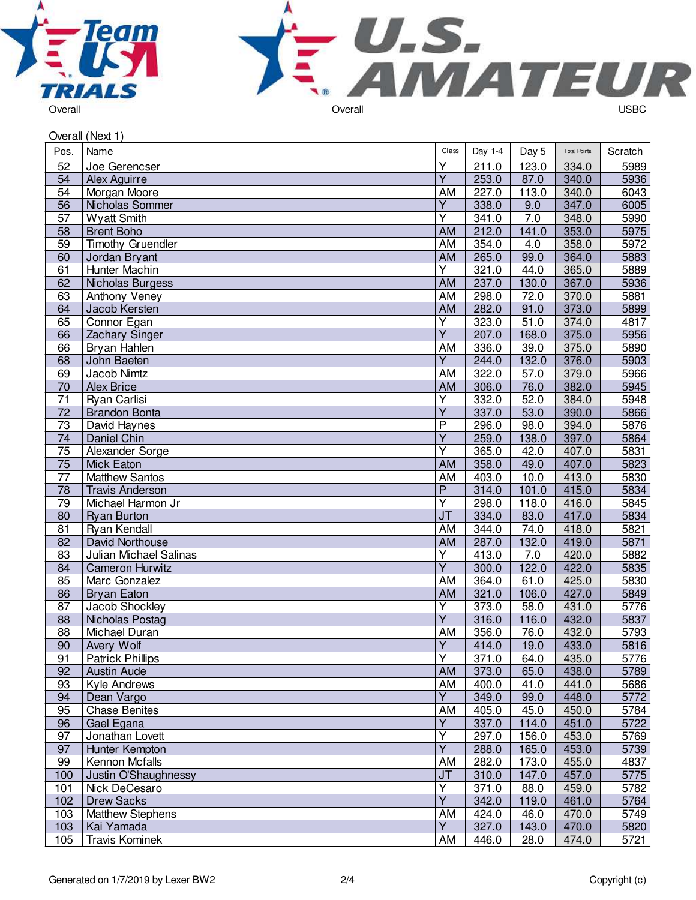



| Overall (Next 1) |                          |                         |         |       |                     |                   |  |  |
|------------------|--------------------------|-------------------------|---------|-------|---------------------|-------------------|--|--|
| Pos.             | Name                     | Clas                    | Day 1-4 | Day 5 | <b>Total Points</b> | Scratch           |  |  |
| 52               | Joe Gerencser            | Y                       | 211.0   | 123.0 | 334.0               | 5989              |  |  |
| 54               | Alex Aguirre             | $\overline{\mathsf{Y}}$ | 253.0   | 87.0  | 340.0               | 5936              |  |  |
| 54               | Morgan Moore             | AM                      | 227.0   | 113.0 | 340.0               | 6043              |  |  |
| 56               | Nicholas Sommer          | Y                       | 338.0   | 9.0   | 347.0               | 6005              |  |  |
| 57               | <b>Wyatt Smith</b>       | Υ                       | 341.0   | 7.0   | 348.0               | 5990              |  |  |
| 58               | <b>Brent Boho</b>        | AM                      | 212.0   | 141.0 | 353.0               | 5975              |  |  |
| 59               | <b>Timothy Gruendler</b> | AM                      | 354.0   | 4.0   | 358.0               | $\overline{5972}$ |  |  |
| 60               | Jordan Bryant            | <b>AM</b>               | 265.0   | 99.0  | 364.0               | 5883              |  |  |
| 61               | Hunter Machin            | Y                       | 321.0   | 44.0  | 365.0               | 5889              |  |  |
| 62               | <b>Nicholas Burgess</b>  | <b>AM</b>               | 237.0   | 130.0 | 367.0               | 5936              |  |  |
| 63               | Anthony Veney            | AM                      | 298.0   | 72.0  | 370.0               | 5881              |  |  |
| 64               | Jacob Kersten            | AM                      | 282.0   | 91.0  | 373.0               | 5899              |  |  |
| 65               | Connor Egan              | $\overline{Y}$          | 323.0   | 51.0  | 374.0               | 4817              |  |  |
| 66               | Zachary Singer           | $\overline{Y}$          | 207.0   | 168.0 | 375.0               | 5956              |  |  |
| 66               | Bryan Hahlen             | AM                      | 336.0   | 39.0  | 375.0               | 5890              |  |  |
| 68               | John Baeten              | $\overline{Y}$          | 244.0   | 132.0 | 376.0               | 5903              |  |  |
| 69               | Jacob Nimtz              | AM                      | 322.0   | 57.0  | 379.0               | 5966              |  |  |
| 70               | <b>Alex Brice</b>        | AM                      | 306.0   | 76.0  | 382.0               | 5945              |  |  |
| 71               | Ryan Carlisi             | Υ                       | 332.0   | 52.0  | 384.0               | 5948              |  |  |
| 72               | <b>Brandon Bonta</b>     | Υ                       | 337.0   | 53.0  | 390.0               | 5866              |  |  |
| 73               | David Haynes             | P                       | 296.0   | 98.0  | 394.0               | 5876              |  |  |
| 74               | Daniel Chin              | $\overline{Y}$          | 259.0   | 138.0 | 397.0               | 5864              |  |  |
| $\overline{75}$  | Alexander Sorge          | Ÿ                       | 365.0   | 42.0  | 407.0               | 5831              |  |  |
| 75               | <b>Mick Eaton</b>        | <b>AM</b>               | 358.0   | 49.0  | 407.0               | 5823              |  |  |
| 77               | <b>Matthew Santos</b>    | AM                      | 403.0   | 10.0  | 413.0               | 5830              |  |  |
| 78               | <b>Travis Anderson</b>   | P                       | 314.0   | 101.0 | 415.0               | 5834              |  |  |
| 79               | Michael Harmon Jr        | Υ                       | 298.0   | 118.0 | 416.0               | 5845              |  |  |
| 80               | <b>Ryan Burton</b>       | J <sub>T</sub>          | 334.0   | 83.0  | 417.0               | 5834              |  |  |
| 81               | Ryan Kendall             | <b>AM</b>               | 344.0   | 74.0  | 418.0               | 5821              |  |  |
| 82               | David Northouse          | AM                      | 287.0   | 132.0 | 419.0               | 5871              |  |  |
| 83               | Julian Michael Salinas   | Υ                       | 413.0   | 7.0   | 420.0               | 5882              |  |  |
| 84               | <b>Cameron Hurwitz</b>   | $\overline{Y}$          | 300.0   | 122.0 | 422.0               | 5835              |  |  |
| 85               | Marc Gonzalez            | AM                      | 364.0   | 61.0  | 425.0               | 5830              |  |  |
| 86               | <b>Bryan Eaton</b>       | <b>AM</b>               | 321.0   | 106.0 | 427.0               | 5849              |  |  |
| 87               | Jacob Shockley           | Y                       | 373.0   | 58.0  | 431.0               | 5776              |  |  |
| 88               | Nicholas Postag          | Ÿ                       | 316.0   | 116.0 | 432.0               | 5837              |  |  |
| 88               | Michael Duran            | AM                      | 356.0   | 76.0  | 432.0               | 5793              |  |  |
| 90               | Avery Wolf               | $\overline{Y}$          | 414.0   | 19.0  | 433.0               | 5816              |  |  |
| 91               | <b>Patrick Phillips</b>  | Ý                       | 371.0   | 64.0  | 435.0               | 5776              |  |  |
| 92               | <b>Austin Aude</b>       | AM                      | 373.0   | 65.0  | 438.0               | 5789              |  |  |
| 93               | Kyle Andrews             | AM                      | 400.0   | 41.0  | 441.0               | 5686              |  |  |
| 94               | Dean Vargo               | $\overline{Y}$          | 349.0   | 99.0  | 448.0               | 5772              |  |  |
| 95               | <b>Chase Benites</b>     | AM                      | 405.0   | 45.0  | 450.0               | 5784              |  |  |
| 96               | Gael Egana               | Υ                       | 337.0   | 114.0 | 451.0               | 5722              |  |  |
| 97               | Jonathan Lovett          | Υ                       | 297.0   | 156.0 | 453.0               | 5769              |  |  |
| 97               | Hunter Kempton           | $\overline{\mathsf{Y}}$ | 288.0   | 165.0 | 453.0               | 5739              |  |  |
| 99               | Kennon Mcfalls           | AM                      | 282.0   | 173.0 | 455.0               | 4837              |  |  |
| 100              | Justin O'Shaughnessy     | J <sub>T</sub>          | 310.0   | 147.0 | 457.0               | 5775              |  |  |
| 101              | Nick DeCesaro            | Υ                       | 371.0   | 88.0  | 459.0               | 5782              |  |  |
| 102              | <b>Drew Sacks</b>        | $\overline{Y}$          | 342.0   | 119.0 | 461.0               | 5764              |  |  |
| 103              | <b>Matthew Stephens</b>  | AM                      | 424.0   | 46.0  | 470.0               | 5749              |  |  |
| 103              | Kai Yamada               | Y                       | 327.0   | 143.0 | 470.0               | 5820              |  |  |
| 105              | <b>Travis Kominek</b>    | AM                      | 446.0   | 28.0  | 474.0               | 5721              |  |  |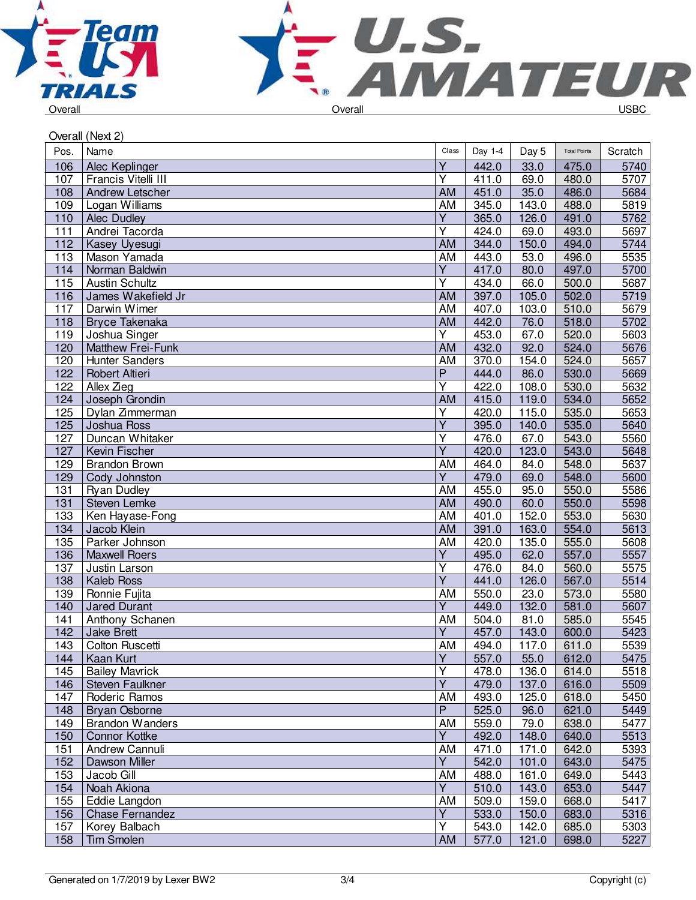



| Overall (Next 2) |                        |                         |         |       |                     |         |  |
|------------------|------------------------|-------------------------|---------|-------|---------------------|---------|--|
| Pos.             | Name                   | Clas                    | Day 1-4 | Day 5 | <b>Total Points</b> | Scratch |  |
| 106              | Alec Keplinger         | $\overline{Y}$          | 442.0   | 33.0  | 475.0               | 5740    |  |
| 107              | Francis Vitelli III    | Ÿ                       | 411.0   | 69.0  | 480.0               | 5707    |  |
| 108              | Andrew Letscher        | <b>AM</b>               | 451.0   | 35.0  | 486.0               | 5684    |  |
| 109              | Logan Williams         | AM                      | 345.0   | 143.0 | 488.0               | 5819    |  |
| 110              | <b>Alec Dudley</b>     | Υ                       | 365.0   | 126.0 | 491.0               | 5762    |  |
| 111              | Andrei Tacorda         | Υ                       | 424.0   | 69.0  | 493.0               | 5697    |  |
| 112              | Kasey Uyesugi          | <b>AM</b>               | 344.0   | 150.0 | 494.0               | 5744    |  |
| 113              | Mason Yamada           | AM                      | 443.0   | 53.0  | 496.0               | 5535    |  |
| 114              | Norman Baldwin         | Y                       | 417.0   | 80.0  | 497.0               | 5700    |  |
| 115              | <b>Austin Schultz</b>  | Y                       | 434.0   | 66.0  | 500.0               | 5687    |  |
| 116              | James Wakefield Jr     | <b>AM</b>               | 397.0   | 105.0 | 502.0               | 5719    |  |
| 117              | Darwin Wimer           | AM                      | 407.0   | 103.0 | 510.0               | 5679    |  |
| 118              | <b>Bryce Takenaka</b>  | AM                      | 442.0   | 76.0  | 518.0               | 5702    |  |
| 119              | Joshua Singer          | Υ                       | 453.0   | 67.0  | 520.0               | 5603    |  |
| 120              | Matthew Frei-Funk      | <b>AM</b>               | 432.0   | 92.0  | 524.0               | 5676    |  |
| 120              | <b>Hunter Sanders</b>  | AM                      | 370.0   | 154.0 | 524.0               | 5657    |  |
| 122              | <b>Robert Altieri</b>  | $\overline{\mathsf{P}}$ | 444.0   | 86.0  | 530.0               | 5669    |  |
| 122              | Allex Zieg             | $\overline{Y}$          | 422.0   | 108.0 | 530.0               | 5632    |  |
| 124              | Joseph Grondin         | <b>AM</b>               | 415.0   | 119.0 | 534.0               | 5652    |  |
| 125              | Dylan Zimmerman        | Υ                       | 420.0   | 115.0 | 535.0               | 5653    |  |
| 125              | Joshua Ross            | $\overline{Y}$          | 395.0   | 140.0 | 535.0               | 5640    |  |
| 127              | Duncan Whitaker        | $\overline{\mathsf{Y}}$ | 476.0   | 67.0  | 543.0               | 5560    |  |
| 127              | Kevin Fischer          | $\overline{Y}$          | 420.0   | 123.0 | 543.0               | 5648    |  |
| 129              | <b>Brandon Brown</b>   | AM                      | 464.0   | 84.0  | 548.0               | 5637    |  |
| 129              | Cody Johnston          | Υ                       | 479.0   | 69.0  | 548.0               | 5600    |  |
| 131              | <b>Ryan Dudley</b>     | AM                      | 455.0   | 95.0  | 550.0               | 5586    |  |
| 131              | Steven Lemke           | AM                      | 490.0   | 60.0  | 550.0               | 5598    |  |
| 133              | Ken Hayase-Fong        | AM                      | 401.0   | 152.0 | 553.0               | 5630    |  |
| 134              | Jacob Klein            | <b>AM</b>               | 391.0   | 163.0 | 554.0               | 5613    |  |
| 135              | Parker Johnson         | AM                      | 420.0   | 135.0 | 555.0               | 5608    |  |
| 136              | <b>Maxwell Roers</b>   | $\overline{Y}$          | 495.0   | 62.0  | 557.0               | 5557    |  |
| 137              | Justin Larson          | $\overline{\mathsf{Y}}$ | 476.0   | 84.0  | 560.0               | 5575    |  |
| 138              | <b>Kaleb Ross</b>      | $\overline{Y}$          | 441.0   | 126.0 | 567.0               | 5514    |  |
| 139              | Ronnie Fujita          | <b>AM</b>               | 550.0   | 23.0  | 573.0               | 5580    |  |
| 140              | <b>Jared Durant</b>    | Y                       | 449.0   | 132.0 | 581.0               | 5607    |  |
| 141              | Anthony Schanen        | AM                      | 504.0   | 81.0  | 585.0               | 5545    |  |
| 142              | Jake Brett             | $\overline{Y}$          | 457.0   | 143.0 | 600.0               | 5423    |  |
| 143              | Colton Ruscetti        | AM                      | 494.0   | 117.0 | 611.0               | 5539    |  |
| 144              | Kaan Kurt              | $\overline{Y}$          | 557.0   | 55.0  | 612.0               | 5475    |  |
| 145              | <b>Bailey Mavrick</b>  | $\overline{Y}$          | 478.0   | 136.0 | 614.0               | 5518    |  |
| 146              | Steven Faulkner        | $\overline{Y}$          | 479.0   | 137.0 | 616.0               | 5509    |  |
| 147              | Roderic Ramos          | AM                      | 493.0   | 125.0 | 618.0               | 5450    |  |
| 148              | <b>Bryan Osborne</b>   | P                       | 525.0   | 96.0  | 621.0               | 5449    |  |
| 149              | <b>Brandon Wanders</b> | AM                      | 559.0   | 79.0  | 638.0               | 5477    |  |
| 150              | <b>Connor Kottke</b>   | Υ                       | 492.0   | 148.0 | 640.0               | 5513    |  |
| 151              | Andrew Cannuli         | AM                      | 471.0   | 171.0 | 642.0               | 5393    |  |
| 152              | Dawson Miller          | Y                       | 542.0   | 101.0 | 643.0               | 5475    |  |
| 153              | Jacob Gill             | AM                      | 488.0   | 161.0 | 649.0               | 5443    |  |
| 154              | Noah Akiona            | $\overline{Y}$          | 510.0   | 143.0 | 653.0               | 5447    |  |
| 155              | Eddie Langdon          | AM                      | 509.0   | 159.0 | 668.0               | 5417    |  |
| 156              | <b>Chase Fernandez</b> | $\overline{Y}$          | 533.0   | 150.0 | 683.0               | 5316    |  |
| 157              | Korey Balbach          | $\overline{Y}$          | 543.0   | 142.0 | 685.0               | 5303    |  |
| 158              | <b>Tim Smolen</b>      | <b>AM</b>               | 577.0   | 121.0 | 698.0               | 5227    |  |